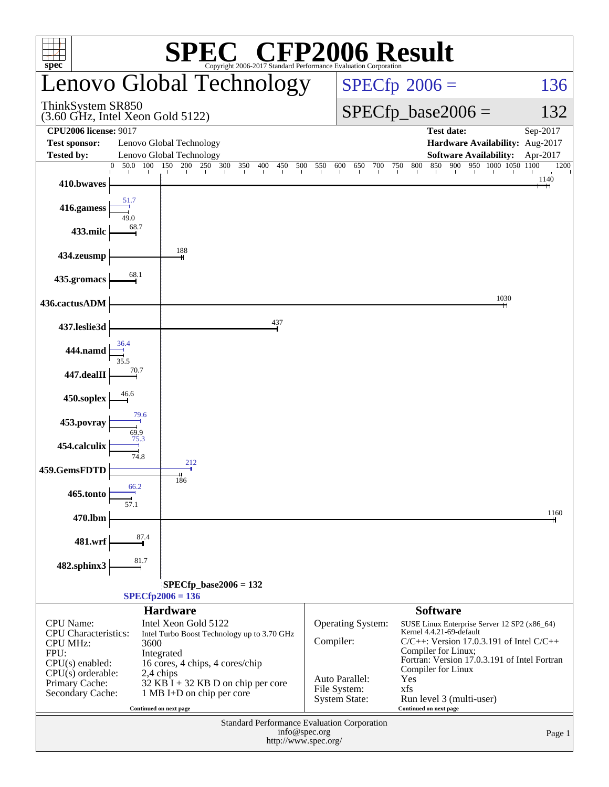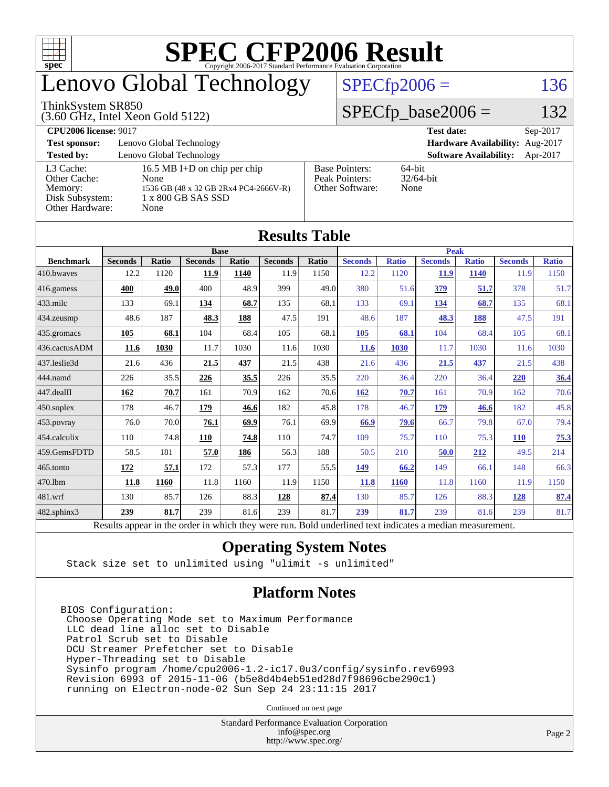

# enovo Global Technology

#### ThinkSystem SR850

(3.60 GHz, Intel Xeon Gold 5122)

### $SPECfp2006 = 136$  $SPECfp2006 = 136$

### $SPECfp\_base2006 = 132$

**[CPU2006 license:](http://www.spec.org/auto/cpu2006/Docs/result-fields.html#CPU2006license)** 9017 **[Test date:](http://www.spec.org/auto/cpu2006/Docs/result-fields.html#Testdate)** Sep-2017 **[Test sponsor:](http://www.spec.org/auto/cpu2006/Docs/result-fields.html#Testsponsor)** Lenovo Global Technology **[Hardware Availability:](http://www.spec.org/auto/cpu2006/Docs/result-fields.html#HardwareAvailability)** Aug-2017 **[Tested by:](http://www.spec.org/auto/cpu2006/Docs/result-fields.html#Testedby)** Lenovo Global Technology **[Software Availability:](http://www.spec.org/auto/cpu2006/Docs/result-fields.html#SoftwareAvailability)** Apr-2017 [L3 Cache:](http://www.spec.org/auto/cpu2006/Docs/result-fields.html#L3Cache) 16.5 MB I+D on chip per chip<br>Other Cache: None [Other Cache:](http://www.spec.org/auto/cpu2006/Docs/result-fields.html#OtherCache) [Memory:](http://www.spec.org/auto/cpu2006/Docs/result-fields.html#Memory) 1536 GB (48 x 32 GB 2Rx4 PC4-2666V-R) [Disk Subsystem:](http://www.spec.org/auto/cpu2006/Docs/result-fields.html#DiskSubsystem) 1 x 800 GB SAS SSD [Other Hardware:](http://www.spec.org/auto/cpu2006/Docs/result-fields.html#OtherHardware) None [Base Pointers:](http://www.spec.org/auto/cpu2006/Docs/result-fields.html#BasePointers) 64-bit<br>Peak Pointers: 32/64-bit [Peak Pointers:](http://www.spec.org/auto/cpu2006/Docs/result-fields.html#PeakPointers) [Other Software:](http://www.spec.org/auto/cpu2006/Docs/result-fields.html#OtherSoftware) None

**[Results Table](http://www.spec.org/auto/cpu2006/Docs/result-fields.html#ResultsTable)**

| Results Table          |                                                                                                          |              |                |       |                |       |                |              |                |              |                |              |
|------------------------|----------------------------------------------------------------------------------------------------------|--------------|----------------|-------|----------------|-------|----------------|--------------|----------------|--------------|----------------|--------------|
|                        | <b>Base</b>                                                                                              |              |                |       |                |       | <b>Peak</b>    |              |                |              |                |              |
| <b>Benchmark</b>       | <b>Seconds</b>                                                                                           | <b>Ratio</b> | <b>Seconds</b> | Ratio | <b>Seconds</b> | Ratio | <b>Seconds</b> | <b>Ratio</b> | <b>Seconds</b> | <b>Ratio</b> | <b>Seconds</b> | <b>Ratio</b> |
| 410.bwaves             | 12.2                                                                                                     | 1120         | 11.9           | 1140  | 11.9           | 1150  | 12.2           | 1120         | 11.9           | 1140         | 11.9           | 1150         |
| 416.gamess             | 400                                                                                                      | 49.0         | 400            | 48.9  | 399            | 49.0  | 380            | 51.6         | 379            | 51.7         | 378            | 51.7         |
| $433$ .milc            | 133                                                                                                      | 69.1         | <u>134</u>     | 68.7  | 135            | 68.1  | 133            | 69.1         | <u>134</u>     | 68.7         | 135            | 68.1         |
| 434.zeusmp             | 48.6                                                                                                     | 187          | 48.3           | 188   | 47.5           | 191   | 48.6           | 187          | 48.3           | 188          | 47.5           | 191          |
| $435$ .gromacs         | 105                                                                                                      | 68.1         | 104            | 68.4  | 105            | 68.1  | 105            | 68.1         | 104            | 68.4         | 105            | 68.1         |
| 436.cactusADM          | 11.6                                                                                                     | 1030         | 11.7           | 1030  | 11.6           | 1030  | <b>11.6</b>    | 1030         | 11.7           | 1030         | 11.6           | 1030         |
| 437.leslie3d           | 21.6                                                                                                     | 436          | 21.5           | 437   | 21.5           | 438   | 21.6           | 436          | 21.5           | 437          | 21.5           | 438          |
| 444.namd               | 226                                                                                                      | 35.5         | 226            | 35.5  | 226            | 35.5  | 220            | 36.4         | 220            | 36.4         | 220            | 36.4         |
| $ 447 \text{.}$ dealII | 162                                                                                                      | 70.7         | 161            | 70.9  | 162            | 70.6  | 162            | 70.7         | 161            | 70.9         | 162            | 70.6         |
| 450.soplex             | 178                                                                                                      | 46.7         | 179            | 46.6  | 182            | 45.8  | 178            | 46.7         | <u>179</u>     | 46.6         | 182            | 45.8         |
| 453.povray             | 76.0                                                                                                     | 70.0         | 76.1           | 69.9  | 76.1           | 69.9  | 66.9           | 79.6         | 66.7           | 79.8         | 67.0           | 79.4         |
| $ 454$ .calculix       | 110                                                                                                      | 74.8         | 110            | 74.8  | 110            | 74.7  | 109            | 75.7         | 110            | 75.3         | <b>110</b>     | 75.3         |
| 459.GemsFDTD           | 58.5                                                                                                     | 181          | 57.0           | 186   | 56.3           | 188   | 50.5           | 210          | 50.0           | 212          | 49.5           | 214          |
| $ 465$ .tonto          | <u>172</u>                                                                                               | 57.1         | 172            | 57.3  | 177            | 55.5  | <u>149</u>     | 66.2         | 149            | 66.1         | 148            | 66.3         |
| 470.1bm                | 11.8                                                                                                     | 1160         | 11.8           | 1160  | 11.9           | 1150  | 11.8           | 1160         | 11.8           | 1160         | 11.9           | 1150         |
| 481.wrf                | 130                                                                                                      | 85.7         | 126            | 88.3  | 128            | 87.4  | 130            | 85.7         | 126            | 88.3         | <u>128</u>     | 87.4         |
| $482$ .sphinx $3$      | 239                                                                                                      | 81.7         | 239            | 81.6  | 239            | 81.7  | 239            | 81.7         | 239            | 81.6         | 239            | 81.7         |
|                        | Results appear in the order in which they were run. Bold underlined text indicates a median measurement. |              |                |       |                |       |                |              |                |              |                |              |

#### **[Operating System Notes](http://www.spec.org/auto/cpu2006/Docs/result-fields.html#OperatingSystemNotes)**

Stack size set to unlimited using "ulimit -s unlimited"

#### **[Platform Notes](http://www.spec.org/auto/cpu2006/Docs/result-fields.html#PlatformNotes)**

BIOS Configuration: Choose Operating Mode set to Maximum Performance LLC dead line alloc set to Disable Patrol Scrub set to Disable DCU Streamer Prefetcher set to Disable Hyper-Threading set to Disable Sysinfo program /home/cpu2006-1.2-ic17.0u3/config/sysinfo.rev6993 Revision 6993 of 2015-11-06 (b5e8d4b4eb51ed28d7f98696cbe290c1) running on Electron-node-02 Sun Sep 24 23:11:15 2017

Continued on next page

Standard Performance Evaluation Corporation [info@spec.org](mailto:info@spec.org) <http://www.spec.org/>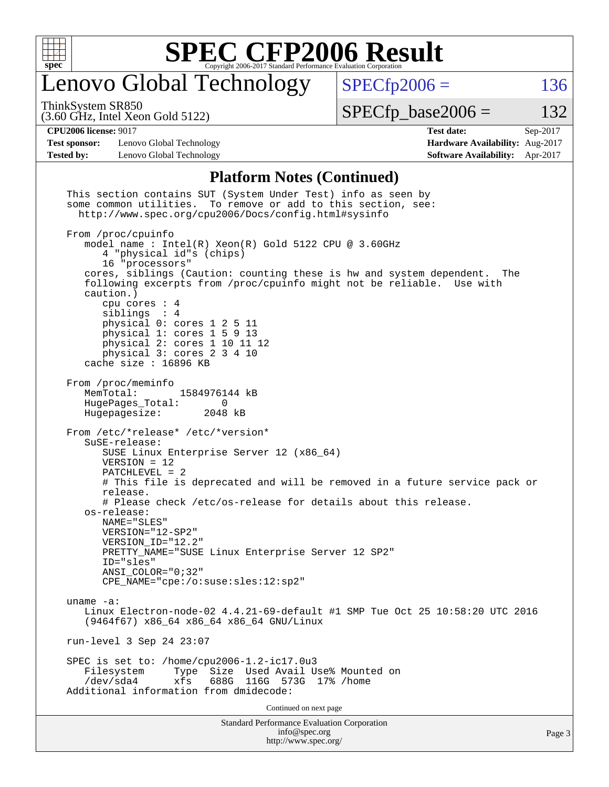

# Lenovo Global Technology

 $SPECfp2006 = 136$  $SPECfp2006 = 136$ 

ThinkSystem SR850

(3.60 GHz, Intel Xeon Gold 5122)

 $SPECTp\_base2006 = 132$ 

#### **[CPU2006 license:](http://www.spec.org/auto/cpu2006/Docs/result-fields.html#CPU2006license)** 9017 **[Test date:](http://www.spec.org/auto/cpu2006/Docs/result-fields.html#Testdate)** Sep-2017

**[Test sponsor:](http://www.spec.org/auto/cpu2006/Docs/result-fields.html#Testsponsor)** Lenovo Global Technology **[Hardware Availability:](http://www.spec.org/auto/cpu2006/Docs/result-fields.html#HardwareAvailability)** Aug-2017 **[Tested by:](http://www.spec.org/auto/cpu2006/Docs/result-fields.html#Testedby)** Lenovo Global Technology **[Software Availability:](http://www.spec.org/auto/cpu2006/Docs/result-fields.html#SoftwareAvailability)** Apr-2017

#### **[Platform Notes \(Continued\)](http://www.spec.org/auto/cpu2006/Docs/result-fields.html#PlatformNotes)**

| <b>Standard Performance Evaluation Corporation</b><br>info@spec.org<br>http://www.spec.org/                                                                                                                                                                                                                                                                                                                                                                                        | Page 3 |
|------------------------------------------------------------------------------------------------------------------------------------------------------------------------------------------------------------------------------------------------------------------------------------------------------------------------------------------------------------------------------------------------------------------------------------------------------------------------------------|--------|
| Continued on next page                                                                                                                                                                                                                                                                                                                                                                                                                                                             |        |
| SPEC is set to: /home/cpu2006-1.2-ic17.0u3<br>Size Used Avail Use% Mounted on<br>Filesystem<br>Type<br>688G<br>$/\text{dev/sda4}$<br>xfs<br>116G 573G<br>$17%$ /home<br>Additional information from dmidecode:                                                                                                                                                                                                                                                                     |        |
| run-level 3 Sep 24 23:07                                                                                                                                                                                                                                                                                                                                                                                                                                                           |        |
| uname $-a$ :<br>Linux Electron-node-02 4.4.21-69-default #1 SMP Tue Oct 25 10:58:20 UTC 2016<br>(9464f67) x86_64 x86_64 x86_64 GNU/Linux                                                                                                                                                                                                                                                                                                                                           |        |
| SuSE-release:<br>SUSE Linux Enterprise Server 12 (x86_64)<br>$VERSION = 12$<br>$PATCHLEVEL = 2$<br># This file is deprecated and will be removed in a future service pack or<br>release.<br># Please check /etc/os-release for details about this release.<br>os-release:<br>NAME="SLES"<br>VERSION="12-SP2"<br>VERSION ID="12.2"<br>PRETTY_NAME="SUSE Linux Enterprise Server 12 SP2"<br>ID="sles"<br>ANSI COLOR="0;32"<br>CPE NAME="cpe:/o:suse:sles:12:sp2"                     |        |
| From /proc/meminfo<br>MemTotal:<br>1584976144 kB<br>HugePages_Total:<br>$\overline{0}$<br>Hugepagesize:<br>2048 kB<br>From /etc/*release* /etc/*version*                                                                                                                                                                                                                                                                                                                           |        |
| From /proc/cpuinfo<br>model name : Intel(R) Xeon(R) Gold 5122 CPU @ 3.60GHz<br>4 "physical id"s (chips)<br>16 "processors"<br>cores, siblings (Caution: counting these is hw and system dependent. The<br>following excerpts from /proc/cpuinfo might not be reliable. Use with<br>caution.)<br>cpu cores $: 4$<br>siblings : 4<br>physical 0: cores 1 2 5 11<br>physical 1: cores 1 5 9 13<br>physical 2: cores 1 10 11 12<br>physical 3: cores 2 3 4 10<br>cache size : 16896 KB |        |
| This section contains SUT (System Under Test) info as seen by<br>some common utilities. To remove or add to this section, see:<br>http://www.spec.org/cpu2006/Docs/config.html#sysinfo                                                                                                                                                                                                                                                                                             |        |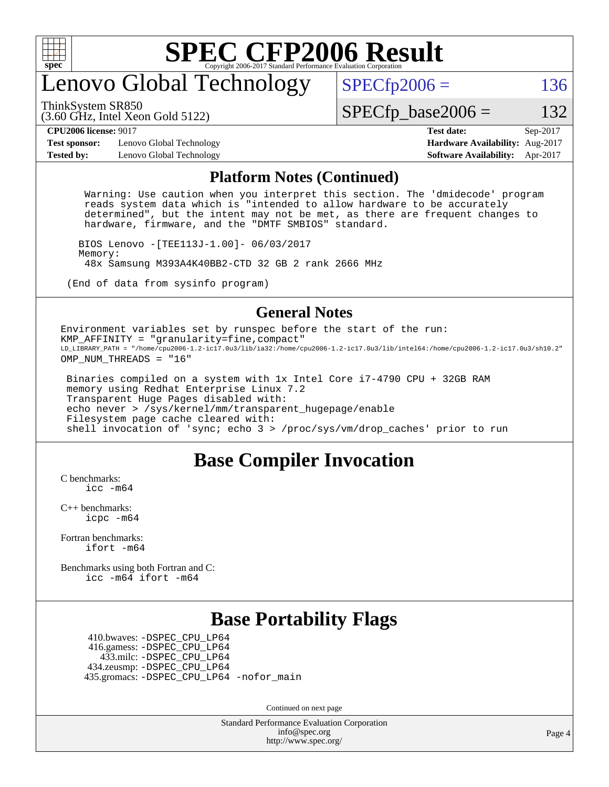

# enovo Global Technology

ThinkSystem SR850

 $SPECTp2006 = 136$ 

(3.60 GHz, Intel Xeon Gold 5122)

 $SPECTp\_base2006 = 132$ 

**[Test sponsor:](http://www.spec.org/auto/cpu2006/Docs/result-fields.html#Testsponsor)** Lenovo Global Technology **[Hardware Availability:](http://www.spec.org/auto/cpu2006/Docs/result-fields.html#HardwareAvailability)** Aug-2017 **[Tested by:](http://www.spec.org/auto/cpu2006/Docs/result-fields.html#Testedby)** Lenovo Global Technology **[Software Availability:](http://www.spec.org/auto/cpu2006/Docs/result-fields.html#SoftwareAvailability)** Apr-2017

**[CPU2006 license:](http://www.spec.org/auto/cpu2006/Docs/result-fields.html#CPU2006license)** 9017 **[Test date:](http://www.spec.org/auto/cpu2006/Docs/result-fields.html#Testdate)** Sep-2017

#### **[Platform Notes \(Continued\)](http://www.spec.org/auto/cpu2006/Docs/result-fields.html#PlatformNotes)**

 Warning: Use caution when you interpret this section. The 'dmidecode' program reads system data which is "intended to allow hardware to be accurately determined", but the intent may not be met, as there are frequent changes to hardware, firmware, and the "DMTF SMBIOS" standard.

 BIOS Lenovo -[TEE113J-1.00]- 06/03/2017 Memory: 48x Samsung M393A4K40BB2-CTD 32 GB 2 rank 2666 MHz

(End of data from sysinfo program)

#### **[General Notes](http://www.spec.org/auto/cpu2006/Docs/result-fields.html#GeneralNotes)**

Environment variables set by runspec before the start of the run: KMP\_AFFINITY = "granularity=fine,compact" LD\_LIBRARY\_PATH = "/home/cpu2006-1.2-ic17.0u3/lib/ia32:/home/cpu2006-1.2-ic17.0u3/lib/intel64:/home/cpu2006-1.2-ic17.0u3/sh10.2" OMP NUM THREADS = "16"

 Binaries compiled on a system with 1x Intel Core i7-4790 CPU + 32GB RAM memory using Redhat Enterprise Linux 7.2 Transparent Huge Pages disabled with: echo never > /sys/kernel/mm/transparent\_hugepage/enable Filesystem page cache cleared with: shell invocation of 'sync; echo 3 > /proc/sys/vm/drop\_caches' prior to run

### **[Base Compiler Invocation](http://www.spec.org/auto/cpu2006/Docs/result-fields.html#BaseCompilerInvocation)**

[C benchmarks](http://www.spec.org/auto/cpu2006/Docs/result-fields.html#Cbenchmarks): [icc -m64](http://www.spec.org/cpu2006/results/res2017q4/cpu2006-20171211-51106.flags.html#user_CCbase_intel_icc_64bit_bda6cc9af1fdbb0edc3795bac97ada53)

[C++ benchmarks:](http://www.spec.org/auto/cpu2006/Docs/result-fields.html#CXXbenchmarks) [icpc -m64](http://www.spec.org/cpu2006/results/res2017q4/cpu2006-20171211-51106.flags.html#user_CXXbase_intel_icpc_64bit_fc66a5337ce925472a5c54ad6a0de310)

[Fortran benchmarks](http://www.spec.org/auto/cpu2006/Docs/result-fields.html#Fortranbenchmarks): [ifort -m64](http://www.spec.org/cpu2006/results/res2017q4/cpu2006-20171211-51106.flags.html#user_FCbase_intel_ifort_64bit_ee9d0fb25645d0210d97eb0527dcc06e)

[Benchmarks using both Fortran and C](http://www.spec.org/auto/cpu2006/Docs/result-fields.html#BenchmarksusingbothFortranandC): [icc -m64](http://www.spec.org/cpu2006/results/res2017q4/cpu2006-20171211-51106.flags.html#user_CC_FCbase_intel_icc_64bit_bda6cc9af1fdbb0edc3795bac97ada53) [ifort -m64](http://www.spec.org/cpu2006/results/res2017q4/cpu2006-20171211-51106.flags.html#user_CC_FCbase_intel_ifort_64bit_ee9d0fb25645d0210d97eb0527dcc06e)

### **[Base Portability Flags](http://www.spec.org/auto/cpu2006/Docs/result-fields.html#BasePortabilityFlags)**

 410.bwaves: [-DSPEC\\_CPU\\_LP64](http://www.spec.org/cpu2006/results/res2017q4/cpu2006-20171211-51106.flags.html#suite_basePORTABILITY410_bwaves_DSPEC_CPU_LP64) 416.gamess: [-DSPEC\\_CPU\\_LP64](http://www.spec.org/cpu2006/results/res2017q4/cpu2006-20171211-51106.flags.html#suite_basePORTABILITY416_gamess_DSPEC_CPU_LP64) 433.milc: [-DSPEC\\_CPU\\_LP64](http://www.spec.org/cpu2006/results/res2017q4/cpu2006-20171211-51106.flags.html#suite_basePORTABILITY433_milc_DSPEC_CPU_LP64) 434.zeusmp: [-DSPEC\\_CPU\\_LP64](http://www.spec.org/cpu2006/results/res2017q4/cpu2006-20171211-51106.flags.html#suite_basePORTABILITY434_zeusmp_DSPEC_CPU_LP64) 435.gromacs: [-DSPEC\\_CPU\\_LP64](http://www.spec.org/cpu2006/results/res2017q4/cpu2006-20171211-51106.flags.html#suite_basePORTABILITY435_gromacs_DSPEC_CPU_LP64) [-nofor\\_main](http://www.spec.org/cpu2006/results/res2017q4/cpu2006-20171211-51106.flags.html#user_baseLDPORTABILITY435_gromacs_f-nofor_main)

Continued on next page

Standard Performance Evaluation Corporation [info@spec.org](mailto:info@spec.org) <http://www.spec.org/>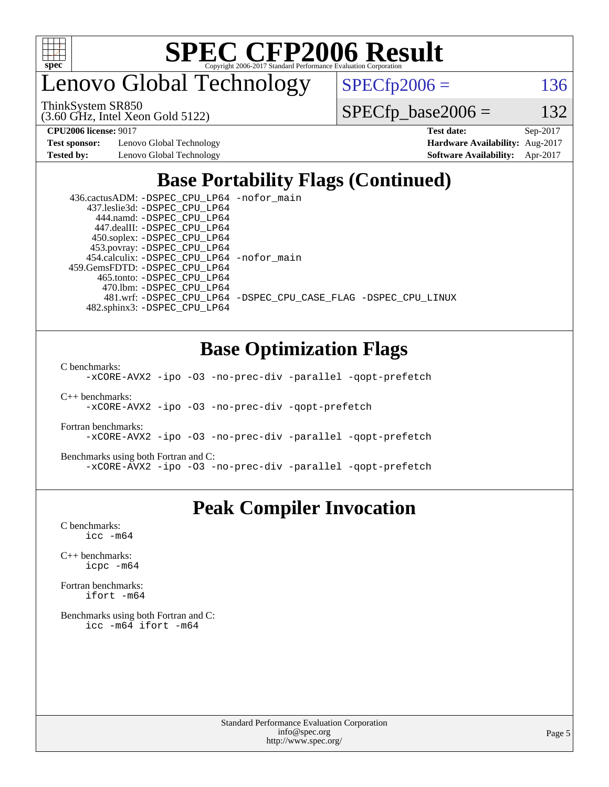

enovo Global Technology

ThinkSystem SR850

(3.60 GHz, Intel Xeon Gold 5122)

 $SPECTp2006 = 136$ 

 $SPECfp\_base2006 = 132$ 

**[Test sponsor:](http://www.spec.org/auto/cpu2006/Docs/result-fields.html#Testsponsor)** Lenovo Global Technology **[Hardware Availability:](http://www.spec.org/auto/cpu2006/Docs/result-fields.html#HardwareAvailability)** Aug-2017

**[CPU2006 license:](http://www.spec.org/auto/cpu2006/Docs/result-fields.html#CPU2006license)** 9017 **[Test date:](http://www.spec.org/auto/cpu2006/Docs/result-fields.html#Testdate)** Sep-2017 **[Tested by:](http://www.spec.org/auto/cpu2006/Docs/result-fields.html#Testedby)** Lenovo Global Technology **[Software Availability:](http://www.spec.org/auto/cpu2006/Docs/result-fields.html#SoftwareAvailability)** Apr-2017

## **[Base Portability Flags \(Continued\)](http://www.spec.org/auto/cpu2006/Docs/result-fields.html#BasePortabilityFlags)**

| 436.cactusADM: - DSPEC CPU LP64 - nofor main |                                                                |
|----------------------------------------------|----------------------------------------------------------------|
| 437.leslie3d: -DSPEC CPU LP64                |                                                                |
| 444.namd: -DSPEC CPU LP64                    |                                                                |
| 447.dealII: -DSPEC CPU LP64                  |                                                                |
| 450.soplex: -DSPEC_CPU_LP64                  |                                                                |
| 453.povray: -DSPEC_CPU_LP64                  |                                                                |
| 454.calculix: - DSPEC CPU LP64 - nofor main  |                                                                |
| 459. GemsFDTD: - DSPEC CPU LP64              |                                                                |
| 465.tonto: -DSPEC CPU LP64                   |                                                                |
| 470.1bm: - DSPEC CPU LP64                    |                                                                |
|                                              | 481.wrf: -DSPEC CPU_LP64 -DSPEC_CPU_CASE_FLAG -DSPEC_CPU_LINUX |
| 482.sphinx3: -DSPEC CPU LP64                 |                                                                |

### **[Base Optimization Flags](http://www.spec.org/auto/cpu2006/Docs/result-fields.html#BaseOptimizationFlags)**

[C benchmarks](http://www.spec.org/auto/cpu2006/Docs/result-fields.html#Cbenchmarks):

[-xCORE-AVX2](http://www.spec.org/cpu2006/results/res2017q4/cpu2006-20171211-51106.flags.html#user_CCbase_f-xCORE-AVX2) [-ipo](http://www.spec.org/cpu2006/results/res2017q4/cpu2006-20171211-51106.flags.html#user_CCbase_f-ipo) [-O3](http://www.spec.org/cpu2006/results/res2017q4/cpu2006-20171211-51106.flags.html#user_CCbase_f-O3) [-no-prec-div](http://www.spec.org/cpu2006/results/res2017q4/cpu2006-20171211-51106.flags.html#user_CCbase_f-no-prec-div) [-parallel](http://www.spec.org/cpu2006/results/res2017q4/cpu2006-20171211-51106.flags.html#user_CCbase_f-parallel) [-qopt-prefetch](http://www.spec.org/cpu2006/results/res2017q4/cpu2006-20171211-51106.flags.html#user_CCbase_f-qopt-prefetch)

[C++ benchmarks:](http://www.spec.org/auto/cpu2006/Docs/result-fields.html#CXXbenchmarks) [-xCORE-AVX2](http://www.spec.org/cpu2006/results/res2017q4/cpu2006-20171211-51106.flags.html#user_CXXbase_f-xCORE-AVX2) [-ipo](http://www.spec.org/cpu2006/results/res2017q4/cpu2006-20171211-51106.flags.html#user_CXXbase_f-ipo) [-O3](http://www.spec.org/cpu2006/results/res2017q4/cpu2006-20171211-51106.flags.html#user_CXXbase_f-O3) [-no-prec-div](http://www.spec.org/cpu2006/results/res2017q4/cpu2006-20171211-51106.flags.html#user_CXXbase_f-no-prec-div) [-qopt-prefetch](http://www.spec.org/cpu2006/results/res2017q4/cpu2006-20171211-51106.flags.html#user_CXXbase_f-qopt-prefetch)

[Fortran benchmarks](http://www.spec.org/auto/cpu2006/Docs/result-fields.html#Fortranbenchmarks): [-xCORE-AVX2](http://www.spec.org/cpu2006/results/res2017q4/cpu2006-20171211-51106.flags.html#user_FCbase_f-xCORE-AVX2) [-ipo](http://www.spec.org/cpu2006/results/res2017q4/cpu2006-20171211-51106.flags.html#user_FCbase_f-ipo) [-O3](http://www.spec.org/cpu2006/results/res2017q4/cpu2006-20171211-51106.flags.html#user_FCbase_f-O3) [-no-prec-div](http://www.spec.org/cpu2006/results/res2017q4/cpu2006-20171211-51106.flags.html#user_FCbase_f-no-prec-div) [-parallel](http://www.spec.org/cpu2006/results/res2017q4/cpu2006-20171211-51106.flags.html#user_FCbase_f-parallel) [-qopt-prefetch](http://www.spec.org/cpu2006/results/res2017q4/cpu2006-20171211-51106.flags.html#user_FCbase_f-qopt-prefetch)

[Benchmarks using both Fortran and C](http://www.spec.org/auto/cpu2006/Docs/result-fields.html#BenchmarksusingbothFortranandC): [-xCORE-AVX2](http://www.spec.org/cpu2006/results/res2017q4/cpu2006-20171211-51106.flags.html#user_CC_FCbase_f-xCORE-AVX2) [-ipo](http://www.spec.org/cpu2006/results/res2017q4/cpu2006-20171211-51106.flags.html#user_CC_FCbase_f-ipo) [-O3](http://www.spec.org/cpu2006/results/res2017q4/cpu2006-20171211-51106.flags.html#user_CC_FCbase_f-O3) [-no-prec-div](http://www.spec.org/cpu2006/results/res2017q4/cpu2006-20171211-51106.flags.html#user_CC_FCbase_f-no-prec-div) [-parallel](http://www.spec.org/cpu2006/results/res2017q4/cpu2006-20171211-51106.flags.html#user_CC_FCbase_f-parallel) [-qopt-prefetch](http://www.spec.org/cpu2006/results/res2017q4/cpu2006-20171211-51106.flags.html#user_CC_FCbase_f-qopt-prefetch)

### **[Peak Compiler Invocation](http://www.spec.org/auto/cpu2006/Docs/result-fields.html#PeakCompilerInvocation)**

[C benchmarks](http://www.spec.org/auto/cpu2006/Docs/result-fields.html#Cbenchmarks): [icc -m64](http://www.spec.org/cpu2006/results/res2017q4/cpu2006-20171211-51106.flags.html#user_CCpeak_intel_icc_64bit_bda6cc9af1fdbb0edc3795bac97ada53)

[C++ benchmarks:](http://www.spec.org/auto/cpu2006/Docs/result-fields.html#CXXbenchmarks) [icpc -m64](http://www.spec.org/cpu2006/results/res2017q4/cpu2006-20171211-51106.flags.html#user_CXXpeak_intel_icpc_64bit_fc66a5337ce925472a5c54ad6a0de310)

[Fortran benchmarks](http://www.spec.org/auto/cpu2006/Docs/result-fields.html#Fortranbenchmarks): [ifort -m64](http://www.spec.org/cpu2006/results/res2017q4/cpu2006-20171211-51106.flags.html#user_FCpeak_intel_ifort_64bit_ee9d0fb25645d0210d97eb0527dcc06e)

[Benchmarks using both Fortran and C](http://www.spec.org/auto/cpu2006/Docs/result-fields.html#BenchmarksusingbothFortranandC): [icc -m64](http://www.spec.org/cpu2006/results/res2017q4/cpu2006-20171211-51106.flags.html#user_CC_FCpeak_intel_icc_64bit_bda6cc9af1fdbb0edc3795bac97ada53) [ifort -m64](http://www.spec.org/cpu2006/results/res2017q4/cpu2006-20171211-51106.flags.html#user_CC_FCpeak_intel_ifort_64bit_ee9d0fb25645d0210d97eb0527dcc06e)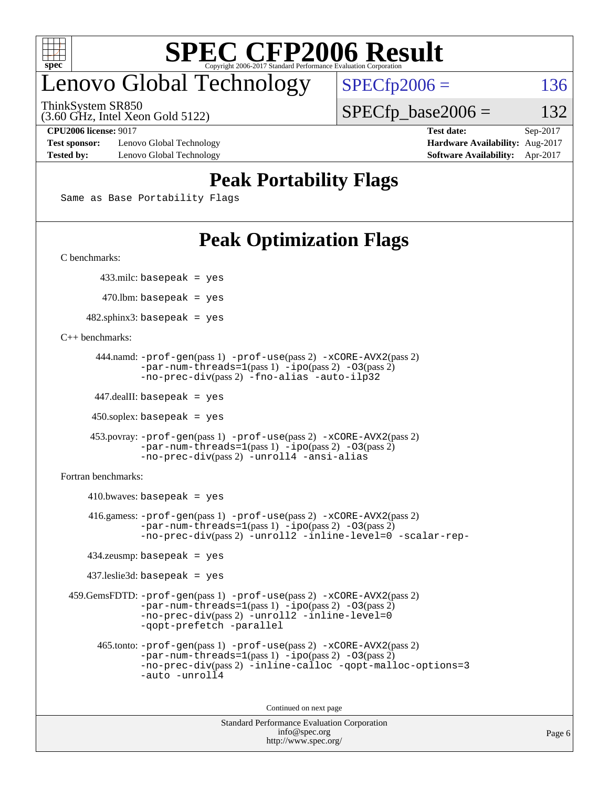

# enovo Global Technology

ThinkSystem SR850

(3.60 GHz, Intel Xeon Gold 5122)

 $SPECfp2006 = 136$  $SPECfp2006 = 136$ 

 $SPECTp\_base2006 = 132$ 

**[Test sponsor:](http://www.spec.org/auto/cpu2006/Docs/result-fields.html#Testsponsor)** Lenovo Global Technology **[Hardware Availability:](http://www.spec.org/auto/cpu2006/Docs/result-fields.html#HardwareAvailability)** Aug-2017 **[Tested by:](http://www.spec.org/auto/cpu2006/Docs/result-fields.html#Testedby)** Lenovo Global Technology **[Software Availability:](http://www.spec.org/auto/cpu2006/Docs/result-fields.html#SoftwareAvailability)** Apr-2017

**[CPU2006 license:](http://www.spec.org/auto/cpu2006/Docs/result-fields.html#CPU2006license)** 9017 **[Test date:](http://www.spec.org/auto/cpu2006/Docs/result-fields.html#Testdate)** Sep-2017

## **[Peak Portability Flags](http://www.spec.org/auto/cpu2006/Docs/result-fields.html#PeakPortabilityFlags)**

Same as Base Portability Flags

# **[Peak Optimization Flags](http://www.spec.org/auto/cpu2006/Docs/result-fields.html#PeakOptimizationFlags)**

[C benchmarks](http://www.spec.org/auto/cpu2006/Docs/result-fields.html#Cbenchmarks):

433.milc: basepeak = yes

 $470.$ lbm: basepeak = yes

 $482$ .sphinx3: basepeak = yes

[C++ benchmarks:](http://www.spec.org/auto/cpu2006/Docs/result-fields.html#CXXbenchmarks)

```
 444.namd: -prof-gen(pass 1) -prof-use(pass 2) -xCORE-AVX2(pass 2)
       -par-num-threads=1(pass 1) -ipo(pass 2) -O3(pass 2)
       -no-prec-div(pass 2) -fno-alias -auto-ilp32
```
447.dealII: basepeak = yes

 $450$ .soplex: basepeak = yes

```
 453.povray: -prof-gen(pass 1) -prof-use(pass 2) -xCORE-AVX2(pass 2)
        -par-num-threads=1-ipo-O3(pass 2)-no-prec-div(pass 2) -unroll4 -ansi-alias
```
[Fortran benchmarks](http://www.spec.org/auto/cpu2006/Docs/result-fields.html#Fortranbenchmarks):

```
410.bwaves: basepeak = yes 416.gamess: -prof-gen(pass 1) -prof-use(pass 2) -xCORE-AVX2(pass 2)
           -par-num-threads=1-ipo-O3(pass 2)-no-prec-div(pass 2) -unroll2 -inline-level=0 -scalar-rep-
   434.zeusmp: basepeak = yes
   437.leslie3d: basepeak = yes
459.GemsFDTD: -prof-gen(pass 1) -prof-use(pass 2) -xCORE-AVX2(pass 2)
           -par-num-threads=1-ipo-O3(pass 2)-no-prec-div(pass 2) -unroll2 -inline-level=0
           -qopt-prefetch -parallel
     465.tonto: -prof-gen(pass 1) -prof-use(pass 2) -xCORE-AVX2(pass 2)
           -par-num-threads=1(pass 1) -ipo(pass 2) -O3(pass 2)
           -no-prec-div-inline-calloc-qopt-malloc-options=3
           -auto -unroll4
```
Continued on next page

```
Standard Performance Evaluation Corporation
            info@spec.org
          http://www.spec.org/
```